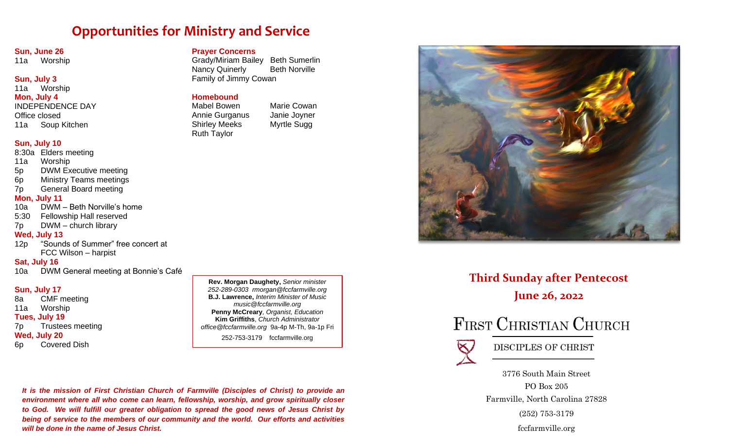# **Opportunities for Ministry and Service**

#### **Sun, June 26**

11a Worship

#### **Sun, July 3**

#### 11a Worship **Mon, July 4** INDEPENDENCE DAY Office closed 11a Soup Kitchen

## **Sun, July 10**

- 8:30a Elders meeting
- 11a Worship
- 5p DWM Executive meeting
- 6p Ministry Teams meetings
- 7p General Board meeting

#### **Mon, July 11**

- 10a DWM Beth Norville's home
- 5:30 Fellowship Hall reserved
- 7p DWM church library

#### **Wed, July 13**

12p "Sounds of Summer" free concert at FCC Wilson – harpist

#### **Sat, July 16**

10a DWM General meeting at Bonnie's Café

# **Sun, July 17**

8a CMF meeting 11a Worship **Tues, July 19** 7p Trustees meeting **Wed, July 20** 6p Covered Dish

**Rev. Morgan Daughety,** *Senior minister 252-289-0303 rmorgan@fccfarmville.org* **B.J. Lawrence,** *Interim Minister of Music music@fccfarmville.org* **Penny McCreary***, Organist, Education* **Kim Griffiths**, *Church Administrator office@fccfarmville.org* 9a-4p M-Th, 9a-1p Fri 252-753-3179 fccfarmville.org

*It is the mission of First Christian Church of Farmville (Disciples of Christ) to provide an environment where all who come can learn, fellowship, worship, and grow spiritually closer to God. We will fulfill our greater obligation to spread the good news of Jesus Christ by being of service to the members of our community and the world. Our efforts and activities will be done in the name of Jesus Christ.*

# **Prayer Concerns**

Grady/Miriam Bailey Beth Sumerlin Nancy Quinerly **Beth Norville** Family of Jimmy Cowan

### **Homebound**

Ruth Taylor

Mabel Bowen Marie Cowan Annie Gurganus Janie Joyner Shirley Meeks Myrtle Sugg



**Third Sunday after Pentecost June 26, 2022**

# FIRST CHRISTIAN CHURCH



DISCIPLES OF CHRIST

3776 South Main Street PO Box 205 Farmville, North Carolina 27828 (252) 753-3179 fccfarmville.org